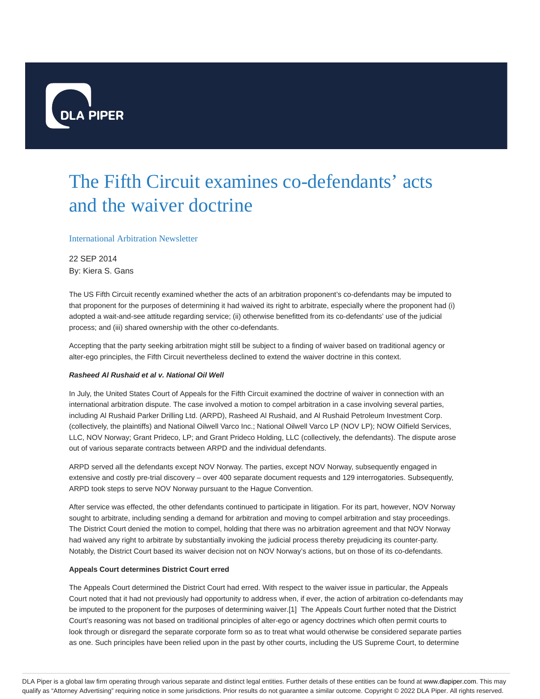

# The Fifth Circuit examines co-defendants' acts and the waiver doctrine

### International Arbitration Newsletter

22 SEP 2014 By: Kiera S. Gans

The US Fifth Circuit recently examined whether the acts of an arbitration proponent's co-defendants may be imputed to that proponent for the purposes of determining it had waived its right to arbitrate, especially where the proponent had (i) adopted a wait-and-see attitude regarding service; (ii) otherwise benefitted from its co-defendants' use of the judicial process; and (iii) shared ownership with the other co-defendants.

Accepting that the party seeking arbitration might still be subject to a finding of waiver based on traditional agency or alter-ego principles, the Fifth Circuit nevertheless declined to extend the waiver doctrine in this context.

#### **Rasheed Al Rushaid et al v. National Oil Well**

In July, the United States Court of Appeals for the Fifth Circuit examined the doctrine of waiver in connection with an international arbitration dispute. The case involved a motion to compel arbitration in a case involving several parties, including Al Rushaid Parker Drilling Ltd. (ARPD), Rasheed Al Rushaid, and Al Rushaid Petroleum Investment Corp. (collectively, the plaintiffs) and National Oilwell Varco Inc.; National Oilwell Varco LP (NOV LP); NOW Oilfield Services, LLC, NOV Norway; Grant Prideco, LP; and Grant Prideco Holding, LLC (collectively, the defendants). The dispute arose out of various separate contracts between ARPD and the individual defendants.

ARPD served all the defendants except NOV Norway. The parties, except NOV Norway, subsequently engaged in extensive and costly pre-trial discovery – over 400 separate document requests and 129 interrogatories. Subsequently, ARPD took steps to serve NOV Norway pursuant to the Hague Convention.

After service was effected, the other defendants continued to participate in litigation. For its part, however, NOV Norway sought to arbitrate, including sending a demand for arbitration and moving to compel arbitration and stay proceedings. The District Court denied the motion to compel, holding that there was no arbitration agreement and that NOV Norway had waived any right to arbitrate by substantially invoking the judicial process thereby prejudicing its counter-party. Notably, the District Court based its waiver decision not on NOV Norway's actions, but on those of its co-defendants.

#### **Appeals Court determines District Court erred**

The Appeals Court determined the District Court had erred. With respect to the waiver issue in particular, the Appeals Court noted that it had not previously had opportunity to address when, if ever, the action of arbitration co-defendants may be imputed to the proponent for the purposes of determining waiver.[1] The Appeals Court further noted that the District Court's reasoning was not based on traditional principles of alter-ego or agency doctrines which often permit courts to look through or disregard the separate corporate form so as to treat what would otherwise be considered separate parties as one. Such principles have been relied upon in the past by other courts, including the US Supreme Court, to determine